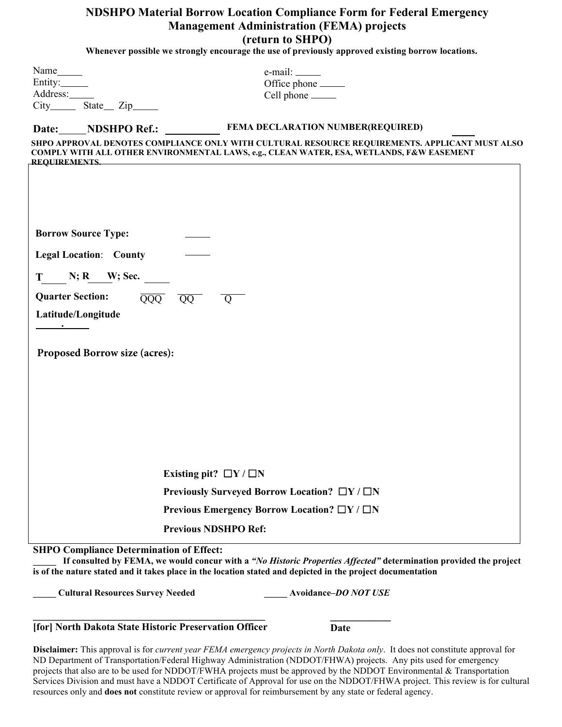# **NDSHPO Material Borrow Location Compliance Form for Federal Emergency Management Administration (FEMA) projects (return to SHPO)**

**Whenever possible we strongly encourage the use of previously approved existing borrow locations.** 

| Name______<br>Entity:<br>Address:                                                                                                                                                                                                                  | $e$ -mail: $\_\_\_\_\_\_\_\_\_\_\_\_\_\_\_\_\_\_\_\_$<br>Office phone _______<br>Cell phone ______                                                                                         |
|----------------------------------------------------------------------------------------------------------------------------------------------------------------------------------------------------------------------------------------------------|--------------------------------------------------------------------------------------------------------------------------------------------------------------------------------------------|
| NDSHPO Ref.:<br>Date:                                                                                                                                                                                                                              | FEMA DECLARATION NUMBER(REQUIRED)                                                                                                                                                          |
| <b>REQUIREMENTS.</b>                                                                                                                                                                                                                               | SHPO APPROVAL DENOTES COMPLIANCE ONLY WITH CULTURAL RESOURCE REQUIREMENTS. APPLICANT MUST ALSO<br>COMPLY WITH ALL OTHER ENVIRONMENTAL LAWS, e.g., CLEAN WATER, ESA, WETLANDS, F&W EASEMENT |
| <b>Borrow Source Type:</b><br><b>Legal Location: County</b>                                                                                                                                                                                        |                                                                                                                                                                                            |
| $N; R$ $W; Sec.$<br>T and the state of the state of the state of the state of the state of the state of the state of the state of the state of the state of the state of the state of the state of the state of the state of the state of the stat |                                                                                                                                                                                            |
| <b>Quarter Section:</b>                                                                                                                                                                                                                            | $\overline{QQQ}$<br>$\overline{QQ}$<br>Q                                                                                                                                                   |
| Latitude/Longitude                                                                                                                                                                                                                                 |                                                                                                                                                                                            |
| Proposed Borrow size (acres):                                                                                                                                                                                                                      |                                                                                                                                                                                            |
|                                                                                                                                                                                                                                                    | Existing pit? $\Box Y / \Box N$                                                                                                                                                            |
|                                                                                                                                                                                                                                                    | Previously Surveyed Borrow Location? □Y / □N                                                                                                                                               |
|                                                                                                                                                                                                                                                    | Previous Emergency Borrow Location? $\Box Y / \Box N$                                                                                                                                      |
|                                                                                                                                                                                                                                                    | <b>Previous NDSHPO Ref:</b>                                                                                                                                                                |
| <b>SHPO Compliance Determination of Effect:</b>                                                                                                                                                                                                    |                                                                                                                                                                                            |

**\_\_\_\_\_ If consulted by FEMA, we would concur with a** *"No Historic Properties Affected"* **determination provided the project is of the nature stated and it takes place in the location stated and depicted in the project documentation**

**\_\_\_\_\_ Cultural Resources Survey Needed \_\_\_\_\_ Avoidance–***DO NOT USE*

## **\_\_\_\_\_\_\_\_\_\_\_\_\_\_\_\_\_\_\_\_\_\_\_\_\_\_\_\_\_\_\_\_\_\_\_\_\_\_\_\_\_\_\_\_\_\_ [for] North Dakota State Historic Preservation Officer**

**Date** 

**\_\_\_\_\_\_\_\_\_\_\_**

**Disclaimer:** This approval is for *current year FEMA emergency projects in North Dakota only*. It does not constitute approval for ND Department of Transportation/Federal Highway Administration (NDDOT/FHWA) projects. Any pits used for emergency projects that also are to be used for NDDOT/FWHA projects must be approved by the NDDOT Environmental & Transportation Services Division and must have a NDDOT Certificate of Approval for use on the NDDOT/FHWA project. This review is for cultural resources only and **does not** constitute review or approval for reimbursement by any state or federal agency.